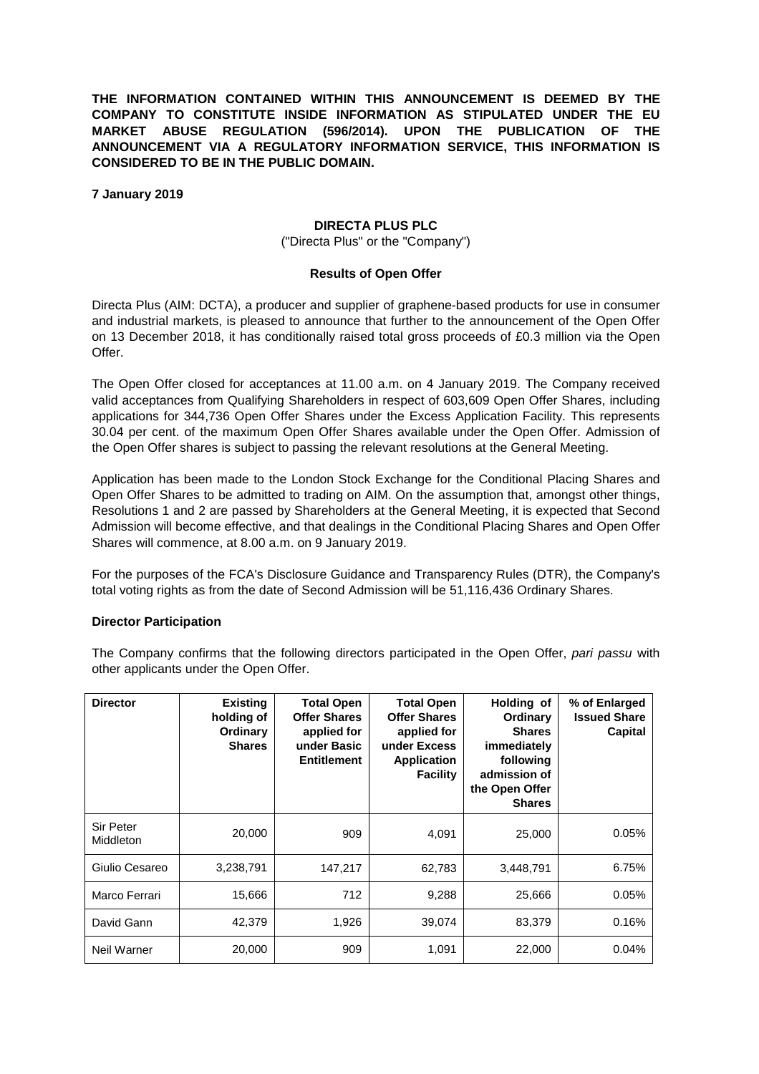**THE INFORMATION CONTAINED WITHIN THIS ANNOUNCEMENT IS DEEMED BY THE COMPANY TO CONSTITUTE INSIDE INFORMATION AS STIPULATED UNDER THE EU MARKET ABUSE REGULATION (596/2014). UPON THE PUBLICATION OF THE ANNOUNCEMENT VIA A REGULATORY INFORMATION SERVICE, THIS INFORMATION IS CONSIDERED TO BE IN THE PUBLIC DOMAIN.**

**7 January 2019**

## **DIRECTA PLUS PLC**

("Directa Plus" or the "Company")

## **Results of Open Offer**

Directa Plus (AIM: DCTA), a producer and supplier of graphene-based products for use in consumer and industrial markets, is pleased to announce that further to the announcement of the Open Offer on 13 December 2018, it has conditionally raised total gross proceeds of £0.3 million via the Open Offer.

The Open Offer closed for acceptances at 11.00 a.m. on 4 January 2019. The Company received valid acceptances from Qualifying Shareholders in respect of 603,609 Open Offer Shares, including applications for 344,736 Open Offer Shares under the Excess Application Facility. This represents 30.04 per cent. of the maximum Open Offer Shares available under the Open Offer. Admission of the Open Offer shares is subject to passing the relevant resolutions at the General Meeting.

Application has been made to the London Stock Exchange for the Conditional Placing Shares and Open Offer Shares to be admitted to trading on AIM. On the assumption that, amongst other things, Resolutions 1 and 2 are passed by Shareholders at the General Meeting, it is expected that Second Admission will become effective, and that dealings in the Conditional Placing Shares and Open Offer Shares will commence, at 8.00 a.m. on 9 January 2019.

For the purposes of the FCA's Disclosure Guidance and Transparency Rules (DTR), the Company's total voting rights as from the date of Second Admission will be 51,116,436 Ordinary Shares.

## **Director Participation**

The Company confirms that the following directors participated in the Open Offer, *pari passu* with other applicants under the Open Offer.

| <b>Director</b>        | <b>Existing</b><br>holding of<br>Ordinary<br><b>Shares</b> | <b>Total Open</b><br><b>Offer Shares</b><br>applied for<br>under Basic<br><b>Entitlement</b> | <b>Total Open</b><br><b>Offer Shares</b><br>applied for<br>under Excess<br><b>Application</b><br><b>Facility</b> | Holding of<br><b>Ordinary</b><br><b>Shares</b><br>immediately<br>following<br>admission of<br>the Open Offer<br><b>Shares</b> | % of Enlarged<br><b>Issued Share</b><br>Capital |
|------------------------|------------------------------------------------------------|----------------------------------------------------------------------------------------------|------------------------------------------------------------------------------------------------------------------|-------------------------------------------------------------------------------------------------------------------------------|-------------------------------------------------|
| Sir Peter<br>Middleton | 20,000                                                     | 909                                                                                          | 4,091                                                                                                            | 25,000                                                                                                                        | 0.05%                                           |
| Giulio Cesareo         | 3,238,791                                                  | 147,217                                                                                      | 62,783                                                                                                           | 3,448,791                                                                                                                     | 6.75%                                           |
| Marco Ferrari          | 15,666                                                     | 712                                                                                          | 9,288                                                                                                            | 25,666                                                                                                                        | 0.05%                                           |
| David Gann             | 42,379                                                     | 1,926                                                                                        | 39,074                                                                                                           | 83,379                                                                                                                        | 0.16%                                           |
| Neil Warner            | 20,000                                                     | 909                                                                                          | 1,091                                                                                                            | 22,000                                                                                                                        | 0.04%                                           |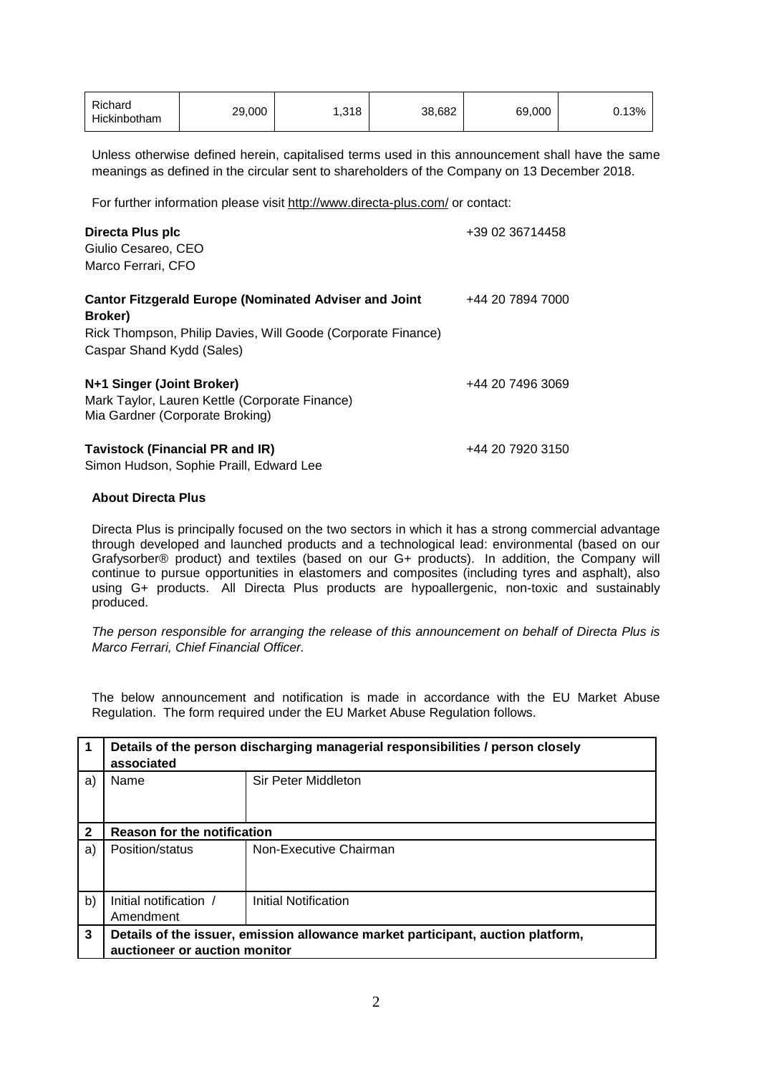| Richard<br>Hickinbotham | 29,000 | ,318 | 38.682 | 69,000 | 0.13% |
|-------------------------|--------|------|--------|--------|-------|
|-------------------------|--------|------|--------|--------|-------|

Unless otherwise defined herein, capitalised terms used in this announcement shall have the same meanings as defined in the circular sent to shareholders of the Company on 13 December 2018.

For further information please visit <http://www.directa-plus.com/> or contact:

| Directa Plus plc<br>Giulio Cesareo, CEO<br>Marco Ferrari, CFO                                                                                                        | +39 02 36714458  |
|----------------------------------------------------------------------------------------------------------------------------------------------------------------------|------------------|
| <b>Cantor Fitzgerald Europe (Nominated Adviser and Joint</b><br>Broker)<br>Rick Thompson, Philip Davies, Will Goode (Corporate Finance)<br>Caspar Shand Kydd (Sales) | +44 20 7894 7000 |
| N+1 Singer (Joint Broker)<br>Mark Taylor, Lauren Kettle (Corporate Finance)<br>Mia Gardner (Corporate Broking)                                                       | +44 20 7496 3069 |
| <b>Tavistock (Financial PR and IR)</b>                                                                                                                               | +44 20 7920 3150 |

Simon Hudson, Sophie Praill, Edward Lee

## **About Directa Plus**

Directa Plus is principally focused on the two sectors in which it has a strong commercial advantage through developed and launched products and a technological lead: environmental (based on our Grafysorber® product) and textiles (based on our G+ products). In addition, the Company will continue to pursue opportunities in elastomers and composites (including tyres and asphalt), also using G+ products. All Directa Plus products are hypoallergenic, non-toxic and sustainably produced.

*The person responsible for arranging the release of this announcement on behalf of Directa Plus is Marco Ferrari, Chief Financial Officer.*

The below announcement and notification is made in accordance with the EU Market Abuse Regulation. The form required under the EU Market Abuse Regulation follows.

|                | Details of the person discharging managerial responsibilities / person closely<br>associated |                        |  |
|----------------|----------------------------------------------------------------------------------------------|------------------------|--|
| a)             | Name                                                                                         | Sir Peter Middleton    |  |
|                |                                                                                              |                        |  |
| $\overline{2}$ | <b>Reason for the notification</b>                                                           |                        |  |
| a)             | Position/status                                                                              | Non-Executive Chairman |  |
|                |                                                                                              |                        |  |
| b)             | Initial notification /                                                                       | Initial Notification   |  |
|                | Amendment                                                                                    |                        |  |
| 3              | Details of the issuer, emission allowance market participant, auction platform,              |                        |  |
|                | auctioneer or auction monitor                                                                |                        |  |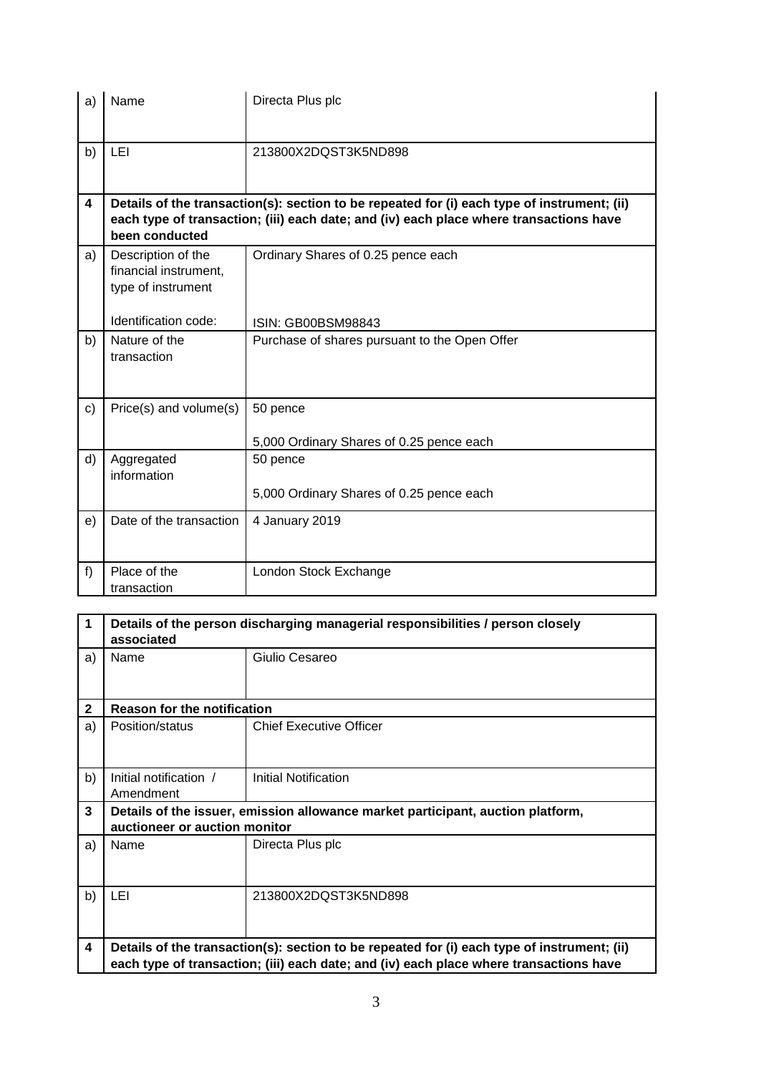| a)            | Name                                                              | Directa Plus plc                                                                                                                                                                      |
|---------------|-------------------------------------------------------------------|---------------------------------------------------------------------------------------------------------------------------------------------------------------------------------------|
| b)            | LEI                                                               | 213800X2DQST3K5ND898                                                                                                                                                                  |
| 4             | been conducted                                                    | Details of the transaction(s): section to be repeated for (i) each type of instrument; (ii)<br>each type of transaction; (iii) each date; and (iv) each place where transactions have |
| a)            | Description of the<br>financial instrument,<br>type of instrument | Ordinary Shares of 0.25 pence each                                                                                                                                                    |
|               | Identification code:                                              | ISIN: GB00BSM98843                                                                                                                                                                    |
| b)            | Nature of the<br>transaction                                      | Purchase of shares pursuant to the Open Offer                                                                                                                                         |
| $\mathbf{c})$ | Price(s) and volume(s)                                            | 50 pence<br>5,000 Ordinary Shares of 0.25 pence each                                                                                                                                  |
| d)            | Aggregated<br>information                                         | 50 pence<br>5,000 Ordinary Shares of 0.25 pence each                                                                                                                                  |
| e)            | Date of the transaction                                           | 4 January 2019                                                                                                                                                                        |
| f)            | Place of the<br>transaction                                       | London Stock Exchange                                                                                                                                                                 |

| 1            | Details of the person discharging managerial responsibilities / person closely<br>associated                                                                                          |                                |  |
|--------------|---------------------------------------------------------------------------------------------------------------------------------------------------------------------------------------|--------------------------------|--|
| a)           | Name                                                                                                                                                                                  | Giulio Cesareo                 |  |
| $\mathbf{2}$ | <b>Reason for the notification</b>                                                                                                                                                    |                                |  |
| a)           | Position/status                                                                                                                                                                       | <b>Chief Executive Officer</b> |  |
| b)           | Initial notification /<br>Amendment                                                                                                                                                   | Initial Notification           |  |
| 3            | Details of the issuer, emission allowance market participant, auction platform,<br>auctioneer or auction monitor                                                                      |                                |  |
| a)           | Name                                                                                                                                                                                  | Directa Plus plc               |  |
| b)           | LEI                                                                                                                                                                                   | 213800X2DQST3K5ND898           |  |
| 4            | Details of the transaction(s): section to be repeated for (i) each type of instrument; (ii)<br>each type of transaction; (iii) each date; and (iv) each place where transactions have |                                |  |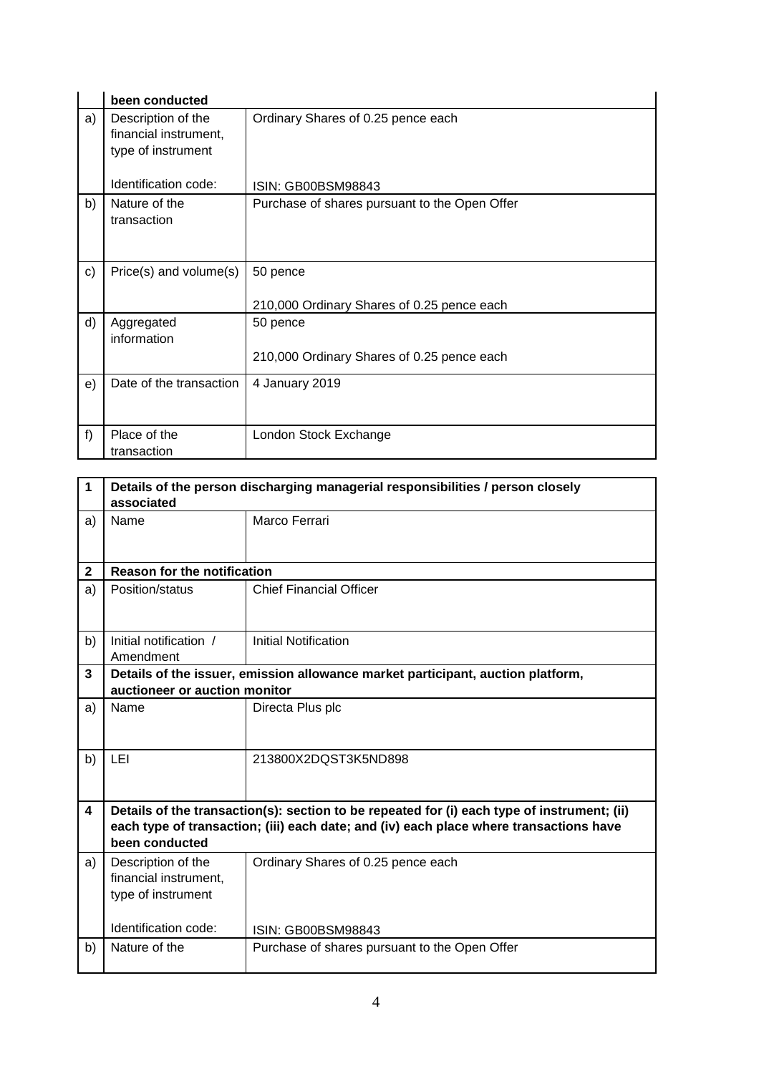|    | been conducted                                                    |                                                        |
|----|-------------------------------------------------------------------|--------------------------------------------------------|
| a) | Description of the<br>financial instrument,<br>type of instrument | Ordinary Shares of 0.25 pence each                     |
|    | Identification code:                                              | ISIN: GB00BSM98843                                     |
| b) | Nature of the<br>transaction                                      | Purchase of shares pursuant to the Open Offer          |
| c) | Price(s) and volume(s)                                            | 50 pence<br>210,000 Ordinary Shares of 0.25 pence each |
| d) | Aggregated<br>information                                         | 50 pence<br>210,000 Ordinary Shares of 0.25 pence each |
| e) | Date of the transaction                                           | 4 January 2019                                         |
| f  | Place of the<br>transaction                                       | London Stock Exchange                                  |

| 1            | Details of the person discharging managerial responsibilities / person closely<br>associated                     |                                                                                                                                                                                       |  |
|--------------|------------------------------------------------------------------------------------------------------------------|---------------------------------------------------------------------------------------------------------------------------------------------------------------------------------------|--|
| a)           | Name                                                                                                             | Marco Ferrari                                                                                                                                                                         |  |
| $\mathbf{2}$ | <b>Reason for the notification</b>                                                                               |                                                                                                                                                                                       |  |
| a)           | Position/status                                                                                                  | <b>Chief Financial Officer</b>                                                                                                                                                        |  |
| b)           | Initial notification /<br>Amendment                                                                              | <b>Initial Notification</b>                                                                                                                                                           |  |
| 3            | Details of the issuer, emission allowance market participant, auction platform,<br>auctioneer or auction monitor |                                                                                                                                                                                       |  |
| a)           | Name                                                                                                             | Directa Plus plc                                                                                                                                                                      |  |
| b)           | LEI                                                                                                              | 213800X2DQST3K5ND898                                                                                                                                                                  |  |
| 4            | been conducted                                                                                                   | Details of the transaction(s): section to be repeated for (i) each type of instrument; (ii)<br>each type of transaction; (iii) each date; and (iv) each place where transactions have |  |
| a)           | Description of the<br>financial instrument,<br>type of instrument                                                | Ordinary Shares of 0.25 pence each                                                                                                                                                    |  |
|              | Identification code:                                                                                             | ISIN: GB00BSM98843                                                                                                                                                                    |  |
| b)           | Nature of the                                                                                                    | Purchase of shares pursuant to the Open Offer                                                                                                                                         |  |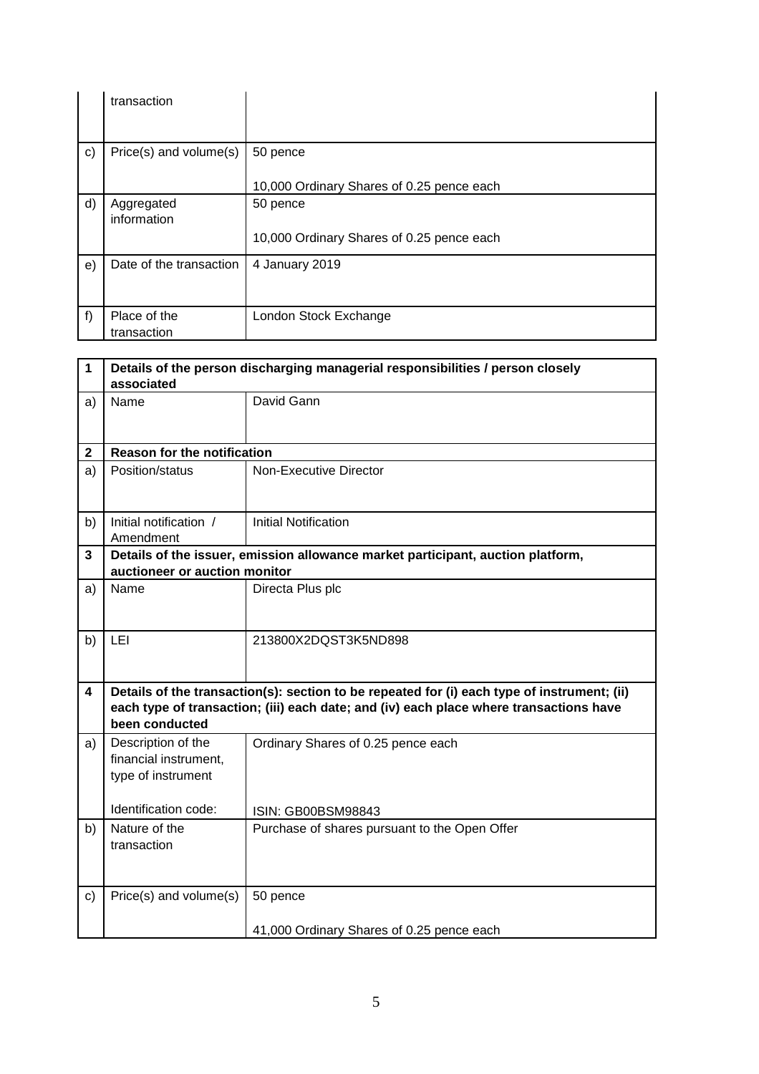|              | transaction                 |                                                       |
|--------------|-----------------------------|-------------------------------------------------------|
| $\mathbf{c}$ | Price(s) and volume(s)      | 50 pence<br>10,000 Ordinary Shares of 0.25 pence each |
| d)           | Aggregated<br>information   | 50 pence<br>10,000 Ordinary Shares of 0.25 pence each |
| e)           | Date of the transaction     | 4 January 2019                                        |
| f)           | Place of the<br>transaction | London Stock Exchange                                 |

| $\mathbf 1$  | Details of the person discharging managerial responsibilities / person closely<br>associated                                                                                                            |                                                                                 |  |
|--------------|---------------------------------------------------------------------------------------------------------------------------------------------------------------------------------------------------------|---------------------------------------------------------------------------------|--|
| a)           | Name                                                                                                                                                                                                    | David Gann                                                                      |  |
| $\mathbf 2$  | <b>Reason for the notification</b>                                                                                                                                                                      |                                                                                 |  |
| a)           | Position/status                                                                                                                                                                                         | Non-Executive Director                                                          |  |
| b)           | Initial notification /<br>Amendment                                                                                                                                                                     | <b>Initial Notification</b>                                                     |  |
| 3            | auctioneer or auction monitor                                                                                                                                                                           | Details of the issuer, emission allowance market participant, auction platform, |  |
| a)           | Name                                                                                                                                                                                                    | Directa Plus plc                                                                |  |
| b)           | LEI                                                                                                                                                                                                     | 213800X2DQST3K5ND898                                                            |  |
| 4            | Details of the transaction(s): section to be repeated for (i) each type of instrument; (ii)<br>each type of transaction; (iii) each date; and (iv) each place where transactions have<br>been conducted |                                                                                 |  |
| a)           | Description of the<br>financial instrument,<br>type of instrument                                                                                                                                       | Ordinary Shares of 0.25 pence each                                              |  |
|              | Identification code:                                                                                                                                                                                    | ISIN: GB00BSM98843                                                              |  |
| b)           | Nature of the<br>transaction                                                                                                                                                                            | Purchase of shares pursuant to the Open Offer                                   |  |
| $\mathbf{C}$ | Price(s) and volume(s)                                                                                                                                                                                  | 50 pence<br>41,000 Ordinary Shares of 0.25 pence each                           |  |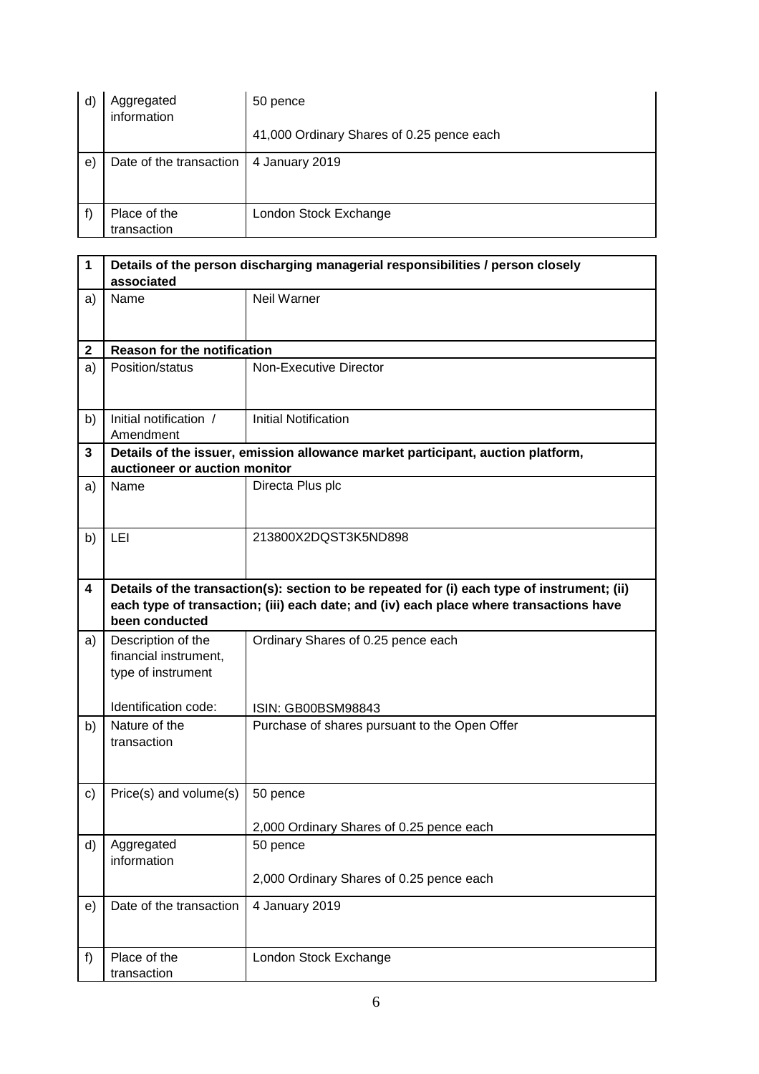| $\mathsf{d}$ | Aggregated<br>information   | 50 pence                                  |
|--------------|-----------------------------|-------------------------------------------|
|              |                             | 41,000 Ordinary Shares of 0.25 pence each |
| e)           | Date of the transaction     | 4 January 2019                            |
|              | Place of the<br>transaction | London Stock Exchange                     |

| 1           | Details of the person discharging managerial responsibilities / person closely<br>associated |                                                                                                                                                                                       |  |
|-------------|----------------------------------------------------------------------------------------------|---------------------------------------------------------------------------------------------------------------------------------------------------------------------------------------|--|
| a)          | Name                                                                                         | Neil Warner                                                                                                                                                                           |  |
| $\mathbf 2$ | <b>Reason for the notification</b>                                                           |                                                                                                                                                                                       |  |
| a)          | Position/status                                                                              | <b>Non-Executive Director</b>                                                                                                                                                         |  |
| b)          | Initial notification /<br>Amendment                                                          | <b>Initial Notification</b>                                                                                                                                                           |  |
| 3           | auctioneer or auction monitor                                                                | Details of the issuer, emission allowance market participant, auction platform,                                                                                                       |  |
| a)          | Name                                                                                         | Directa Plus plc                                                                                                                                                                      |  |
| b)          | LEI                                                                                          | 213800X2DQST3K5ND898                                                                                                                                                                  |  |
| 4           | been conducted                                                                               | Details of the transaction(s): section to be repeated for (i) each type of instrument; (ii)<br>each type of transaction; (iii) each date; and (iv) each place where transactions have |  |
| a)          | Description of the<br>financial instrument,<br>type of instrument                            | Ordinary Shares of 0.25 pence each                                                                                                                                                    |  |
|             | Identification code:                                                                         | ISIN: GB00BSM98843                                                                                                                                                                    |  |
| b)          | Nature of the<br>transaction                                                                 | Purchase of shares pursuant to the Open Offer                                                                                                                                         |  |
| c)          | Price(s) and volume(s)                                                                       | 50 pence                                                                                                                                                                              |  |
|             |                                                                                              | 2,000 Ordinary Shares of 0.25 pence each                                                                                                                                              |  |
| d)          | Aggregated<br>information                                                                    | 50 pence                                                                                                                                                                              |  |
|             |                                                                                              | 2,000 Ordinary Shares of 0.25 pence each                                                                                                                                              |  |
| e)          | Date of the transaction                                                                      | 4 January 2019                                                                                                                                                                        |  |
| f)          | Place of the<br>transaction                                                                  | London Stock Exchange                                                                                                                                                                 |  |